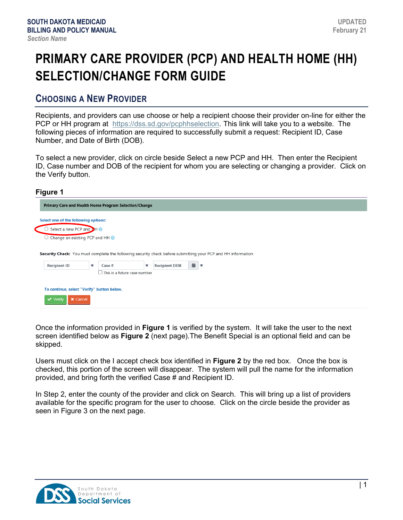# **PRIMARY CARE PROVIDER (PCP) AND HEALTH HOME (HH) SELECTION/CHANGE FORM GUIDE**

## **CHOOSING A NEW PROVIDER**

Recipients, and providers can use choose or help a recipient choose their provider on-line for either the PCP or HH program at [https://dss.sd.gov/pcphhselection.](https://dss.sd.gov/pcphhselection) This link will take you to a website. The following pieces of information are required to successfully submit a request: Recipient ID, Case Number, and Date of Birth (DOB).

To select a new provider, click on circle beside Select a new PCP and HH. Then enter the Recipient ID, Case number and DOB of the recipient for whom you are selecting or changing a provider. Click on the Verify button.

### **Figure 1**

|                                                             |                           | Primary Care and Health Home Program Selection/Change |          |                      |   |                                                                                                                         |  |  |  |
|-------------------------------------------------------------|---------------------------|-------------------------------------------------------|----------|----------------------|---|-------------------------------------------------------------------------------------------------------------------------|--|--|--|
| Select one of the following options:                        |                           |                                                       |          |                      |   |                                                                                                                         |  |  |  |
|                                                             | Select a new PCP and DH @ |                                                       |          |                      |   |                                                                                                                         |  |  |  |
| Change an existing PCP and HH                               |                           |                                                       |          |                      |   |                                                                                                                         |  |  |  |
| <b>Recipient ID</b>                                         | $\star$                   | Case #                                                | $^\star$ | <b>Recipient DOB</b> | 曲 | Security Check: You must complete the following security check before submitting your PCP and HH information<br>$\star$ |  |  |  |
|                                                             |                           | $\Box$ This is a future case number                   |          |                      |   |                                                                                                                         |  |  |  |
| To continue, select "Verify" button below.<br>$\vee$ Verify | <b>X</b> Cancel           |                                                       |          |                      |   |                                                                                                                         |  |  |  |

Once the information provided in **Figure 1** is verified by the system. It will take the user to the next screen identified below as **Figure 2** (next page).The Benefit Special is an optional field and can be skipped.

Users must click on the I accept check box identified in **Figure 2** by the red box. Once the box is checked, this portion of the screen will disappear. The system will pull the name for the information provided, and bring forth the verified Case # and Recipient ID.

In Step 2, enter the county of the provider and click on Search. This will bring up a list of providers available for the specific program for the user to choose. Click on the circle beside the provider as seen in Figure 3 on the next page.

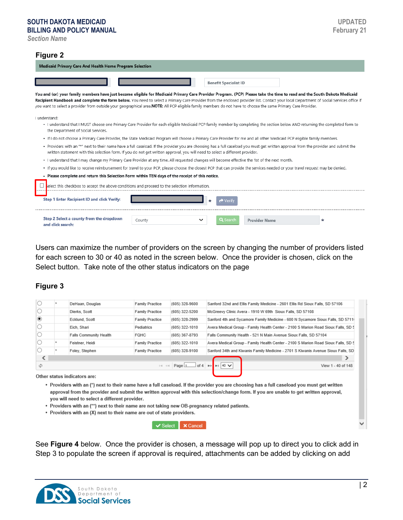## **SOUTH DAKOTA MEDICAID**

**BILLING AND POLICY MANUAL**

#### **Figure 2**

| <b>Medicaid Primary Care And Health Home Program Selection</b>                                                                                                                                                                                                                                                                                                                                                                                                                                                                      |
|-------------------------------------------------------------------------------------------------------------------------------------------------------------------------------------------------------------------------------------------------------------------------------------------------------------------------------------------------------------------------------------------------------------------------------------------------------------------------------------------------------------------------------------|
| <b>Benefit Specialist ID</b>                                                                                                                                                                                                                                                                                                                                                                                                                                                                                                        |
| You and (or) your family members have just become eligible for Medicaid Primary Care Provider Program. (PCP) Please take the time to read and the South Dakota Medicaid<br>Recipient Handbook and complete the form below. You need to select a Primary Care Provider from the enclosed provider list. Contact your local Department of Social Services office if<br>you want to select a provider from outside your geographical area. NOTE: All PCP eligible family members do not have to choose the same Primary Care Provider. |
| I understand:<br>. I understand that I MUST choose one Primary Care Provider for each eligible Medicaid PCP family member by completing the section below AND returning the completed form to<br>the Department of Social Services.                                                                                                                                                                                                                                                                                                 |
| . If I do not choose a Primary Care Provider, the State Medicaid Program will choose a Primary Care Provider for me and all other Medicaid PCP eligible family members.                                                                                                                                                                                                                                                                                                                                                             |
| . Providers with an "*" next to their name have a full caseload. If the provider you are choosing has a full caseload you must get written approval from the provider and submit the<br>written statement with this selection form. If you do not get written approval, you will need to select a different provider.                                                                                                                                                                                                               |
| . I understand that I may change my Primary Care Provider at any time. All requested changes will become effective the 1st of the next month.                                                                                                                                                                                                                                                                                                                                                                                       |
| · If you would like to receive reimbursement for travel to your PCP, please choose the closest PCP that can provide the services needed or your travel request may be denied.                                                                                                                                                                                                                                                                                                                                                       |
| . Please complete and return this Selection Form within TEN days of the receipt of this notice.                                                                                                                                                                                                                                                                                                                                                                                                                                     |
| elect this checkbox to accept the above conditions and proceed to the selection information.                                                                                                                                                                                                                                                                                                                                                                                                                                        |
| Step 1 Enter Recipient ID and click Verify:<br>▼ Verin                                                                                                                                                                                                                                                                                                                                                                                                                                                                              |
| Step 2 Select a county from the dropdown<br>Q Search<br>$\check{ }$<br><b>Provider Name</b><br>$\ast$<br>County<br>and click search:                                                                                                                                                                                                                                                                                                                                                                                                |

Users can maximize the number of providers on the screen by changing the number of providers listed for each screen to 30 or 40 as noted in the screen below. Once the provider is chosen, click on the Select button. Take note of the other status indicators on the page

### **Figure 3**

| φ |                               | $1 - 1$<br>$\prec$ -1  | Page $1$ of 4 $\rightarrow$ 1 40 $\vee$ | View 1 - 40 of 148                                                                |
|---|-------------------------------|------------------------|-----------------------------------------|-----------------------------------------------------------------------------------|
| ເ |                               |                        |                                         |                                                                                   |
|   | Foley, Stephen                | <b>Family Practice</b> | (605) 328-9100                          | Sanford 34th and Kiwanis Family Medicine - 2701 S Kiwanis Avenue Sioux Falls, SD  |
|   | Feistner, Heidi               | <b>Family Practice</b> | (605) 322-1010                          | Avera Medical Group - Family Health Center - 2100 S Marion Road Sioux Falls, SD 5 |
|   | <b>Falls Community Health</b> | FQHC                   | (605) 367-8793                          | Falls Community Health - 521 N Main Avenue Sioux Falls, SD 57104                  |
|   | Eich, Shari                   | Pediatrics             | (605) 322-1010                          | Avera Medical Group - Family Health Center - 2100 S Marion Road Sioux Falls, SD 5 |
| ◉ | Ecklund, Scott                | <b>Family Practice</b> | (605) 328-2999                          | Sanford 4th and Sycamore Family Medicine - 600 N Sycamore Sioux Falls, SD 5711(   |
|   | Dierks, Scott                 | <b>Family Practice</b> | (605) 322-5200                          | McGreevy Clinic Avera - 1910 W 69th Sioux Falls, SD 57108                         |
|   | DeHaan, Douglas               | <b>Family Practice</b> | $(605)$ 328-9600                        | Sanford 32nd and Ellis Family Medicine - 2601 Ellis Rd Sioux Falls, SD 57106      |

- . Providers with an (\*) next to their name have a full caseload. If the provider you are choosing has a full caseload you must get written approval from the provider and submit the written approval with this selection/change form. If you are unable to get written approval, you will need to select a different provider.
- . Providers with an (\*\*) next to their name are not taking new OB-pregnancy related patients.
- Providers with an (X) next to their name are out of state providers.

**√** Select K Cancel

See **Figure 4** below. Once the provider is chosen, a message will pop up to direct you to click add in Step 3 to populate the screen if approval is required, attachments can be added by clicking on add

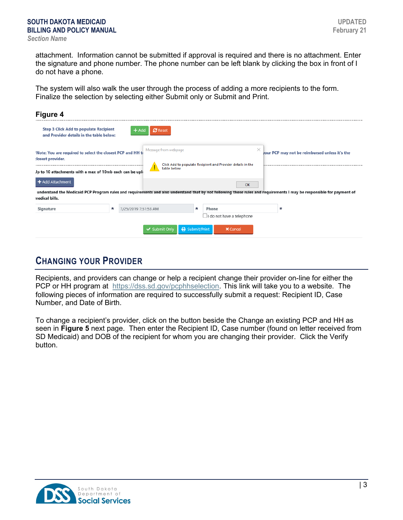attachment. Information cannot be submitted if approval is required and there is no attachment. Enter the signature and phone number. The phone number can be left blank by clicking the box in front of I do not have a phone.

The system will also walk the user through the process of adding a more recipients to the form. Finalize the selection by selecting either Submit only or Submit and Print.

| Figure 4                                                                                                                                                                                |   |                      |                           |              |         |                                                             |          |        |                                                |  |
|-----------------------------------------------------------------------------------------------------------------------------------------------------------------------------------------|---|----------------------|---------------------------|--------------|---------|-------------------------------------------------------------|----------|--------|------------------------------------------------|--|
| <b>Step 3 Click Add to populate Recipient</b><br>and Provider details in the table below:                                                                                               |   | + Add                | <b>C</b> Reset            |              |         |                                                             |          |        |                                                |  |
| 'Note: You are required to select the closest PCP and HH to<br>:losest provider.<br>Jp to 10 attachments with a max of 10mb each can be uple                                            |   |                      | Message from webpage<br>Ţ | table below  |         | Click Add to populate Recipient and Provider details in the | $\times$ |        | your PCP may not be reimbursed unless it's the |  |
| + Add Attachment                                                                                                                                                                        |   |                      |                           |              |         |                                                             | OK       |        |                                                |  |
| understand the Medicaid PCP Program rules and requirements and also understand that by not following those rules and requirements I may be responsible for payment of<br>nedical bills. |   |                      |                           |              |         |                                                             |          |        |                                                |  |
| Signature                                                                                                                                                                               | * | 7/25/2019 7:51:53 AM |                           |              | $\star$ | Phone                                                       |          | $\ast$ |                                                |  |
|                                                                                                                                                                                         |   |                      | ✔ Submit Only             | Submit/Print |         | $\Box$ I do not have a telephone<br><b>X</b> Cancel         |          |        |                                                |  |

# **CHANGING YOUR PROVIDER**

Recipients, and providers can change or help a recipient change their provider on-line for either the PCP or HH program at [https://dss.sd.gov/pcphhselection.](https://dss.sd.gov/pcphhselection) This link will take you to a website. The following pieces of information are required to successfully submit a request: Recipient ID, Case Number, and Date of Birth.

To change a recipient's provider, click on the button beside the Change an existing PCP and HH as seen in **Figure 5** next page. Then enter the Recipient ID, Case number (found on letter received from SD Medicaid) and DOB of the recipient for whom you are changing their provider. Click the Verify button.

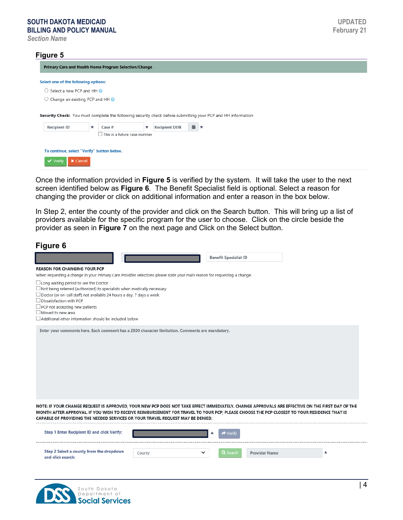#### **SOUTH DAKOTA MEDICAID BILLING AND POLICY MANUAL**

*Section Name*

#### **Figure 5**

Primary Care and Health Home Program Selection/Change Select one of the following options:  $\bigcirc$  Select a new PCP and HH ○ Change an existing PCP and HH ● Security Check: You must complete the following security check before submitting your PCP and HH information \* Recipient DOB **曲 \* Recipient ID** Case #  $\Box$  This is a future case number To continue, select "Verify" button below. **√** Verify K Cancel

Once the information provided in **Figure 5** is verified by the system. It will take the user to the next screen identified below as **Figure 6**. The Benefit Specialist field is optional. Select a reason for changing the provider or click on additional information and enter a reason in the box below.

In Step 2, enter the county of the provider and click on the Search button. This will bring up a list of providers available for the specific program for the user to choose. Click on the circle beside the provider as seen in **Figure 7** on the next page and Click on the Select button.

| Figure 6                                                                                                                                                                                                                                                                                                                                                                        |        |                                          |                      |        |
|---------------------------------------------------------------------------------------------------------------------------------------------------------------------------------------------------------------------------------------------------------------------------------------------------------------------------------------------------------------------------------|--------|------------------------------------------|----------------------|--------|
|                                                                                                                                                                                                                                                                                                                                                                                 |        | <b>Benefit Specialist ID</b>             |                      |        |
| <b>REASON FOR CHANGING YOUR PCP</b><br>When requesting a change in your Primary Care Provider selections please state your main reason for requesting a change.                                                                                                                                                                                                                 |        |                                          |                      |        |
| $\Box$ Long waiting period to see the Doctor<br>$\Box$ Not being referred (authorized) to specialists when medically necessary<br>□ Doctor (or on-call staff) not available 24 hours a day, 7 days a week<br>Dissatisfaction with PCP<br>$\Box$ PCP not accepting new patients<br>$\Box$ Moved to new area<br>$\Box$ Additional other information should be included below      |        |                                          |                      |        |
| Enter your comments here. Each comment has a 2500 character limitation. Comments are mandatory.                                                                                                                                                                                                                                                                                 |        |                                          |                      |        |
| NOTE: IF YOUR CHANGE REQUEST IS APPROVED, YOUR NEW PCP DOES NOT TAKE EFFECT IMMEDIATELY. CHANGE APPROVALS ARE EFFECTIVE ON THE FIRST DAY OF THE<br>MONTH AFTER APPROVAL. IF YOU WISH TO RECEIVE REIMBURSEMENT FOR TRAVEL TO YOUR PCP, PLEASE CHOOSE THE PCP CLOSEST TO YOUR RESIDENCE THAT IS<br>CAPABLE OF PROVIDING THE NEEDED SERVICES OR YOUR TRAVEL REQUEST MAY BE DENIED. |        |                                          |                      |        |
| <b>Step 1 Enter Recipient ID and click Verify:</b>                                                                                                                                                                                                                                                                                                                              |        | $^\star$<br>$\blacktriangleright$ Verify |                      |        |
| Step 2 Select a county from the dropdown<br>and click search:                                                                                                                                                                                                                                                                                                                   | County | ◡<br>Q Search                            | <b>Provider Name</b> | $\ast$ |

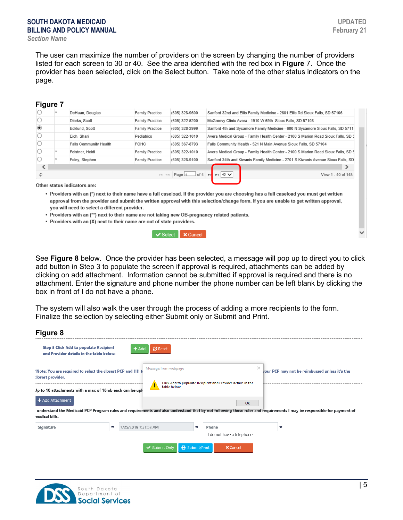#### **SOUTH DAKOTA MEDICAID BILLING AND POLICY MANUAL** *Section Name*

The user can maximize the number of providers on the screen by changing the number of providers listed for each screen to 30 or 40. See the area identified with the red box in **Figure** 7. Once the provider has been selected, click on the Select button. Take note of the other status indicators on the page.

|         | <b>Figure 7</b> |                               |                               |                                           |                                                                                   |
|---------|-----------------|-------------------------------|-------------------------------|-------------------------------------------|-----------------------------------------------------------------------------------|
|         |                 | DeHaan, Douglas               | <b>Family Practice</b>        | (605) 328-9600                            | Sanford 32nd and Ellis Family Medicine - 2601 Ellis Rd Sioux Falls, SD 57106      |
|         |                 | Dierks, Scott                 | <b>Family Practice</b>        | (605) 322-5200                            | McGreevy Clinic Avera - 1910 W 69th Sioux Falls, SD 57108                         |
| $\circ$ |                 | Ecklund, Scott                | <b>Family Practice</b>        | (605) 328-2999                            | Sanford 4th and Sycamore Family Medicine - 600 N Sycamore Sioux Falls, SD 5711(   |
|         |                 | Eich, Shari                   | Pediatrics                    | (605) 322-1010                            | Avera Medical Group - Family Health Center - 2100 S Marion Road Sioux Falls, SD 5 |
|         |                 | <b>Falls Community Health</b> | <b>FQHC</b>                   | (605) 367-8793                            | Falls Community Health - 521 N Main Avenue Sioux Falls, SD 57104                  |
| O       |                 | Feistner, Heidi               | <b>Family Practice</b>        | (605) 322-1010                            | Avera Medical Group - Family Health Center - 2100 S Marion Road Sioux Falls, SD 5 |
|         |                 | Foley, Stephen                | <b>Family Practice</b>        | (605) 328-9100                            | Sanford 34th and Kiwanis Family Medicine - 2701 S Kiwanis Avenue Sioux Falls, SD  |
| ເ       |                 |                               |                               |                                           |                                                                                   |
| φ       |                 |                               | $\left\Vert \cdot\right\Vert$ | Page $1$ of 4 $\rightarrow$<br>$\prec$ -1 | $\blacktriangleright$ 1 40 $\blacktriangleright$<br>View 1 - 40 of 148            |
|         |                 |                               |                               |                                           |                                                                                   |

Other status indicators are:

. Providers with an (\*) next to their name have a full caseload. If the provider you are choosing has a full caseload you must get written approval from the provider and submit the written approval with this selection/change form. If you are unable to get written approval, you will need to select a different provider.

- . Providers with an (\*\*) next to their name are not taking new OB-pregnancy related patients.
- Providers with an (X) next to their name are out of state providers.

✔ Select <mark>X Cancel</mark>

See **Figure 8** below. Once the provider has been selected, a message will pop up to direct you to click add button in Step 3 to populate the screen if approval is required, attachments can be added by clicking on add attachment. Information cannot be submitted if approval is required and there is no attachment. Enter the signature and phone number the phone number can be left blank by clicking the box in front of I do not have a phone.

The system will also walk the user through the process of adding a more recipients to the form. Finalize the selection by selecting either Submit only or Submit and Print.

| Figure 8                                                                                                                                     |                                |                                          |              |       |                                                                         |        |                                                                                                                                                                       |
|----------------------------------------------------------------------------------------------------------------------------------------------|--------------------------------|------------------------------------------|--------------|-------|-------------------------------------------------------------------------|--------|-----------------------------------------------------------------------------------------------------------------------------------------------------------------------|
| <b>Step 3 Click Add to populate Recipient</b><br>and Provider details in the table below:                                                    |                                | <b>C</b> Reset<br>- Add                  |              |       |                                                                         |        |                                                                                                                                                                       |
| 'Note: You are required to select the closest PCP and HH to<br>:losest provider.<br>Jp to 10 attachments with a max of 10mb each can be uplo |                                | Message from webpage<br>▲<br>table below |              |       | $\times$<br>Click Add to populate Recipient and Provider details in the |        | your PCP may not be reimbursed unless it's the                                                                                                                        |
| $+$ Add Attachment                                                                                                                           |                                |                                          |              |       | OK                                                                      |        |                                                                                                                                                                       |
| nedical bills.                                                                                                                               |                                |                                          |              |       |                                                                         |        | understand the Medicaid PCP Program rules and requirements and also understand that by not following those rules and requirements I may be responsible for payment of |
| Signature                                                                                                                                    | 7/25/2019 7:51:53 AM<br>$\ast$ |                                          | $\ast$       | Phone |                                                                         | $\ast$ |                                                                                                                                                                       |
|                                                                                                                                              |                                |                                          |              |       | I do not have a telephone                                               |        |                                                                                                                                                                       |
|                                                                                                                                              |                                | ✔ Submit Only                            | Submit/Print |       | <b>X</b> Cancel                                                         |        |                                                                                                                                                                       |